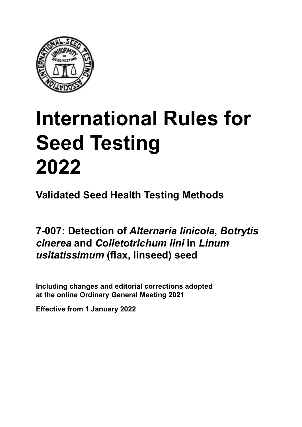

# **International Rules for Seed Testing von Saatgut 2022 2022 Semences 2022 International Rules for Seed Testing 2022**

**Métodos Validados para Análisis de Sanidad de Semillas Validate Méthodes Validées pour Analyse Sanitaire des Semences Validated Seed Health Testing Methods**

7-007: Detection of *Alternaria linicola*, *Botrytis cinerea* and *Colletotrichum lini* in *Linum*  $\boldsymbol{\mu}$ *sitatissimum* (flax, linseed) seed

Including changes and editorial corrections adopted at the online Ordinary General Meeting 2021

**Effective from 1 January 2022**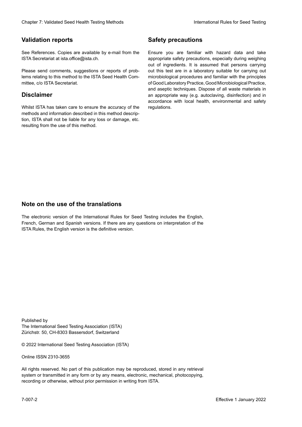## **Validation reports**

See References. Copies are available by e-mail from the<br>ISTA Secretariat at ista.office@ista.ch. ISTA Secretariat at ista.office@ista.ch.

lems relating to this method to the ISTA Seed Health Com-<br>mittee, c/o ISTA Secretariat. mittee, c/o ISTA Secretariat.<br>i Please send comments, suggestions or reports of prob-

## **Limitation de responsabilité Disclaimer**

Whilst ISTA has taken care to ensure the accuracy of the<br>methods and information described in this method description, ISTA shall not be liable for any loss or damage, etc.<br>resulting from the use of this method.<br>. resulting from the use of this method. Whilst ISTA has taken care to ensure the accuracy of the methods and information described in this method descrip-<br>tion, ISTA shall not be liable for any loss or damage, etc. tion, ISTA shall not be liable for any loss or damage, etc.<br>resulting from the use of this method.

## **Medidas de seguridad Sicherheitsmaßnahmen Sécurité Safety precautions**

Ensure you are familiar with hazard data and take Ensure you are familiar with hazard data and take<br>appropriate safety precautions, especially during weighing out of ingredients. It is assumed that persons carrying out this test are in a laboratory suitable for carrying out microbiological procedures and familiar with the principles of Good Laboratory Practice, Good Microbiological Practice, and aseptic techniques. Dispose of all waste materials in an appropriate way (e.g. autoclaving, disinfection) and in accordance with local health, environmental and safety regulations. Glade in 2. Validated Deed Health Testing holes by Safety precentions and the Sacrifice Control of the Control of the Control of the Control of the Control of the Control of the Control of the Control of the Control of the microbiological procedures and familiar with the principles<br>of Good Laboratory Practice, Good Microbiological Practice,<br>and aseptic techniques. Dispose of all waste materials in<br>an appropriate way (e.g. autoclaving, disinf fallstoffe sind auf geeignete Weise und entsprechend der vor Ort über der vor Ort über und Umwelt- und Umwelt-<br>Eine und Umwelt-Effective Counter of Nicholas Devel Teach Teach Teach Devel Safety precedutions<br>
Validation reports<br>
Safety precedution reports and the symbol state of the sementic of the symbol state of the based delay and share<br>
Propose of Good Laboratory Practice, Good Microbiological Practice,<br>and aseptic techniques. Dispose of all waste materials in<br>an appropriate way (e.g. autoclaving, disinfection) and in Validation reports<br>
Since The Texture 1988 and the mediator of the Since Theorem and Texture 1990 and the mediator of the mediator<br>
Effective and outer mediator of the mediator of the mediator of the mediator of the mediat Ensure you are familiar with hazard data and take<br>appropriate safety precautions, especially during weighing<br>out of ingredients. It is assumed that persons carrying<br>out this test are in a laboratory suitable for carrying o

## **Nota sobre el uso de traducciones Anmerkung zur Benutzung der Übersetzungen Note on the use of the translations**

The electronic version of the International Rules for Seed Testing includes the English, French, German and Spanish versions. If there are any questions on interpretation of the ISTA Rules, the English version is the definitive version. The electronic version of the International Rules for Seed Testing includes the English,<br>French, German and Spanish versions. If there are any questions on interpretation of the<br>ISTA Rules, the English version is the defin The electronic version of the International Rules for Seed Testing includes the English,<br>French, German and Spanish versions. If there are any questions on interpretation of the

Published by **Extending Association (ISTA)** The International Seed Testing Association (ISTA) Zürichstr. 50, CH-8303 Bassersdorf, Switzerland

© 2022 International Seed Testing Association (ISTA)

Alle Rechte vorbehalten. Kein Teil dieses Werkes darf in irgendwelcher Form oder durch Online ISSN 2310-3655

All rights reserved. No part of this publication may be reproduced, stored in any retrieval All rights reserved. No part of this publication may be reproduced, stored in any retrieval<br>system or transmitted in any form or by any means, electronic, mechanical, photocopying,<br>recording or otherwise, without prior per recording or otherwise, without prior permis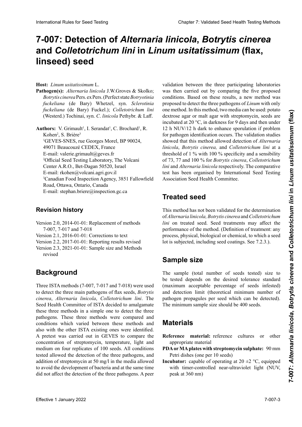# 7-007: Detection of *Alternaria linicola*, *Botrytis cinerea* and Colletotrichum lini in Linum usitatissimum (flax, *usitatissimum* **(lino) linseed) seed**

### **Hospedante:** *Linum usitatissimum* L. **Host:** *Linum usitatissimum* L.

Pathogen(s): Alternaria linicola J.W.Groves & Skolko; Botrytis cinerea Pers. ex Pers. (Perfect state Botryotinia<br>fuckeliana (de Bary) Whetzel syn Sclerotinia perfecto *Botryotinia fuckeliana* (de Bary) Whet-*Botrytis cinerea* Pers. ex Pers. (Stade parfait *Botryotinia fuckeliana* (de Bary) Whetzel, syn. *Sclerotinia* fuckeliana (de Bary) Fuckel.); *Colletotrichum lini Colletotrichum lini* (Westerd.) Tochinai, syn. *C*. *linesteral* Prostation, by Lagrange *Skehemark* (as Bary) Fucker, *Colleto-Reflection* (Westerd) Tookingi syn *Colleto-Reflection trichum lini* (Westerd.) Tochinai, syn. *C*. *linicola fuckeliana* (de Bary) Fuckel.) ; *Colletotrichum lini* (Westerd.) Tochinai, syn. *C*. *linicola* Pethybr. & Laff. (Westerd.) Tochinai, syn. *C*. *linicola* Pethybr. & Laff.

**Autores:** V. Grimault1 , I. Serandat1 , C. Brochard1 Rohen; S. Brière<br><sup>1</sup>GEVES-SNES, rue Georges Morel, BP 90024,  $\frac{490}{1}$  Beaucouze CEDEX,  $E$ -mail: valerie.grimault@geves.fr <sup>2</sup>Official Seed Testing Laboratory, The Volcani Center A.R.O., Bet-Dagan 50520, Israel E-mail: rkohen@volcani.agri.gov.il A.R.O., Bet-Dagan 50520, Israel IsraëlCourriel : rkohen@volcani.agri.gov.il E-mail: rkohen@volcani.agri.gov.il <sup>3</sup>Canadian Food Inspection Agency, 3851 Fallowfield Road, Ottawa, Ontario, Canada E-mail: stephan.briere@inspection.gc.ca  $P_{\text{p}}$ <sup>1</sup>GEVES-SNES, rue Georges Morel, BP 90024, SEVES-SIVES, rue Georges More<br>49071 Beaucouzé CEDEX, France  $G<sub>1</sub>$  deal couze CEDEA, France E-mail: valerie.grimault@geves.fr Authors: V. Grimault<sup>1</sup>, I. Serandat<sup>1</sup>, C. Brochard<sup>1</sup>, R.<br>Kabas<sup>2</sup>, S. Bridas<sup>3</sup> Kohen<sup>2</sup>, S. Brière<sup>3</sup>

# **Historial de revisiones Historique de la révision Revision history**

- Version 2.0, 2014-01-01: Replacement of methods 7-007, 7-017 and 7-018
- Version 2.1, 2016-01-01: Corrections to text
- Version 2.2, 2017-01-01: Reporting results revised
- Version 2.3, 2021-01-01: Sample size and Methods revised

#### **Background Historique Background**

Three ISTA methods (7-007, 7-017 and 7-018) were used to detect the three main pathogens of flax seeds, *Botrytis* cinerea, Alternaria linicola, Colletotrichum lini. The El Comité de Sanidad de Semilla de ISTA decidió fusio-den zum Nachweis der drei wichtigen Krankheitserre-cipaux des semences de lin ; *Botrytis cinerea, Alternaria*  Seed Health Committee of ISTA decided to amalgamate these three methods in a simple one to detect the three mese une métodos in a simple one to decet die une<br>pathogènes. These three methods were compared and conditions which varied between these methods and<br>also with the other ISTA existing ones were identified. also with the other ISTA existing ones were identified.<br>A pretest was carried out in GEVES to compare the  $\frac{1}{1}$  and  $\frac{1}{1}$  can analising ones were neutrined. A pretest was carried out in GEVES to compare the concentration of streptomycin, temperature, light and<br>
intervention concentration of streptomycin, temperature, light and medium on four replicates of 100 seeds. All conditions tested allowed the detection of the three pathogens, and addition of streptomycin at 50 mg/l in the media allowed to avoid the development of bacteria and at the same time did not affect the detection of the three pathogens. A peer to avoid the development of bacteria and at the same time<br>did not affect the detection of the three pathogens. A peer addition or streptomycin at 50 mg/l in the media allowed<br>to avoid the development of bacteria and at the same time<br>did not affect the detection of the three pathogens. A peer **Facebook** Alternative Simparcelis (1997), lead Une et nel and traited la détection de validation de trois par trois pathogènes. The control of the simparcelis control of the simparcy of the simparcy of the simparcy of th to avoid the development of bacteria and at the same time did not affect the detection of the three pathogens. A peer

validation between the three participating laboratories was then carried out by comparing the five proposed<br>conditions. Based on these results a new method was conditions. Based on these results, a new method was proposed to detect the three pathogens of *Linum* with only one method. In this method, two media can be used: potato dextrose agar or malt agar with streptomycin, seeds are<br>incubated at 20  $^{\circ}$ C, in darkness for 9 days and then under<br>12 b NUV/12 b dock to enhance approaching if problem incubated at 20 °C, in darkness for 9 days and then under houstated at 20 °C, in darkness for 5 days and then ander<br>12 h NUV/12 h dark to enhance sporulation if problem for pathogen identification occurs. The validation studies estudios de validación mostraron mostraron estos métodos personalidades per estos métodos personalidades per  $\epsilon$ showed that this method allowed detection of *Alternaria*<br>  $\frac{1}{2}$ *Colleton, Botrylis cinered,* and *Colleton chum um* at a threshold of 1 % with 100 % specificity and a sensibility especificidad of  $\frac{1}{2}$  y with 100 % specificity and a sensibility of 73, 77 and 100 % for *Botrytis cinerea*, *Colletotrichum*<br>of 73, 77 and 100 % for *Botrytis cinerea*, *Colletotrichum lini* and *Alternaria linicola* respectively. The comparative *uni* and *Alternaria unicola* respectively. The comparative test has been organised by International Seed Testing Association Seed Health Committee.<br>
– 2001 - 2002 - 2003 - 2004 - 2005 - 2006 - 2007 - 2008 - 2009 - 2008 - 2009 - 2008 - 2009 - 2009 - 2009 - 20 l'on rencontre des difficultés à identifier le pathogène. Les études de validation ont montrées que cette méthode per-*linicola*, *Botrytis cinerea,* and *Colletotrichum lini* at a et *Colletotrichum lini*. A un seuil de 1 à 100 % de spécifi-of 73, 77 and 100 % for *Botrytis cinerea*, *Colletotrichum* **International Rules for Seed Testing Colletotrichum Chapter 2: Unit and Testing Chapter 7: Unit and Testing Chapter 7: Unit and Testing Chapter 7: Unit and Testing Chapter 2: Validated Seed Health Chapter 7: Validated Se** 

#### **Treated seed**  $\mathbb{Z}$  vergleichstest wurde durch das International Seed Testing and Seed Testing and Seed Testing and Seed Testing and Testing and Testing and Testing and Testing and Testing and Testing and Testing and Testing and Tes Association Seed Health Committee organisiert. **Treated seed**

This method has not been validated for the determination of *Alternaria linicola, Botrytis cinerea* and *Colletotrichum* lini on treated seed. Seed treatments may affect the performance of the method. (Definition of treatment: any performance of the method. (Definition of treatment: any<br>process, physical, biological or chemical, to which a seed lot is subjected, including seed coatings. See 7.2.3.).

#### **Tamaño de la muestra** kalischer, biologischer oder chemischer Natur, dem eine mis, à l'inclusion des enrobages de semences. Voir 7.2.3.) **Sample size** Saatgutpartie unterzogen wird, einschließlich Saatgutum-

The sample (total named of seeds tested) size to<br>be tested depends on the desired tolerance standard (maximum acceptable percentage of seeds infested) maximum acceptable percentage or secas infested)<br>and detection limit (theoretical minimum number of pathogen propagules per seed which can be detected). co de propágulos de propiesas de propiesas de propiesas de propiesas de propiesas de propiesas de propiesas de por semilian de muestra de muestra de muestra de muestra de muestra de muestra de muestra de muestra de muestra de muestra de muestra de muestra de muestra de muestra de muestra de muestra de muestra de muestra de muestra The sample (total number of seeds tested) size to principle propinsipale problem water the context. prüften Samen Sampler von der gewünschten Toleranzen Der akzeptabler Prozentsatz der Prozentsatz der befallen central central de semente de semente de semente de semente de semente de semente de semente de semente de semente de semente de semente de semente de semente de semente de semente de semente de semente de semente de semen The minimum sample size should be 400 seeds.

### **und der Nachweise (theoretische Materials**  $\frac{1}{2}$ inder infektiven pro Samen, die nachgewiesen werpropagaules de l'agent par semence pouvant et reduce pouvant et reduce pouvant et<br>La taille minimum de l'échantillon de 400 semences. La taille minimum de 400 semences. La taille minimum de 40<br>La taille minimum de 400 seme

- **Materiales in den können)**<br>Die Geschichte sollte sollte sollte sollte sollte sollte 400 Sa-*Material de referencial de referencial* un otro material un otro ma-**Reference** material: reference cultures or other appropriate material
- **PDA or MA plates with streptomycin sulphate:** 90 mm Petri dishes (one per 10 seeds)<br>
Material de référence ou autre de référence ou autre de référence ou autre de référence ou autre de référence ou autre de référence de référence de référence de référence de référence de ré
- **Incubator:** capable of operating at 20  $\pm$ 2 °C, equipped with timer-controlled near-ultraviolet light (NUV, peak at 360 nm)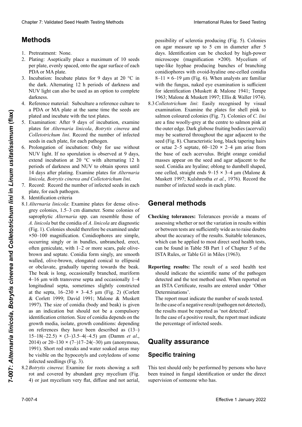# **PDA- oder Manager Manual Streptoms, Black, Sylvania, Sylvania, Sylvania, Sylvania, Sylvania, Sylvania, Sylvania, Sylvania, Sylvania, Sylvania, Sylvania, Sylvania, Sylvania, Sylvania, Sylvania, Sylvania, Sylvania, Sylvania**

- 1. Pretreatment: None.
- per plate, evenly spaced, onto the agar surface of each 2. Plating: Aseptically place a maximum of 10 seeds PDA or MA plate.
- 1. Pretrataminum **1.** Pretratamines.<br>
3. Incubation: Incubate plates for 9 days at 20 °C in the dark. Alternating 12 h periods of darkness and NUV light can also be used as an option to complete darkness.
- 4. Reference material: Subculture a reference culture to a PDA or MA plate at the same time the seeds are<br>plated and incubate with the test plates a Fight of the plate at the same time increase are<br>plated and incubate with the test plates.
- 5. Examination: After 9 days of incubation, examine en que son sembradas e incubadas las placas para el keln inkubieren. 12-h Wechselintervalle von Dunkel-plates for *Alternaria linicola*, *Botrytis cinerea* and piaics<br>Callatas  $\frac{1}{2}$ places for the nutrue unicous, *Bourgus* cincreu and<br>Colleteirely we have a represented in fortage seeds in each plate, for each pathogen. Colletotrichum *lini*. Record the number of infected
- las placas para *Alternaria linicola*, *Botrytis cinerea* y *Colongation of membation*. Only for use without NUV light. If no sporulation is observed at 9 days, extend incubation at 20 °C with alternating 12 h periods of darkness and NUV to obtain spores until 14 days after plating. Examine plates for Alternaria linicola, Botrytis cinerea and Colletotrichum lini.  $\epsilon$ . References in each place, for each pathogen. oder March der March der March zur seit wie die ausgelegten Zeit wie die ausgelegten Sa- $\frac{1}{2}$  de l'échantillon et incuber avec les sements de l'échantillon et incuber avec les sements de l'échantillon et incuber avec les sements de la communication de la communication de la communication de la communicat 6. Prolongation of incubation: Only for use without
- 7. Record: Record the number of infected seeds in each plate, for each pathogen. plate, for each pathogen.
- 8. Identification criteria
- 8. Identification criteria<br>8.1 *Alternaria linicola*: Examine plates for dense olive-8.1 *Alternaria linicola*: Examine plates for dense olivegrey colonies, 1.5–3 cm diameter. Some colonies of saprophytic *Alternaria* spp. can resemble those of saprophytic *Alternaria* spp. can resemble those of<br>*A. linicola* but the conidia of *A. linicola* are diagnostic A. *linicola* but the conidia of A. *linicola* are diagnostic (Fig. 1). Colonies should therefore be examined under ×50–100 magnification. Conidiophores are simple, occurring singly or in bundles, unbranched, erect, often geniculate, with 1–2 or more scars, pale olive-<br>brown and septate. Conidia form singly, are smooth<br>walled. olive-brown. elongated conical to ellipsoid brown and septate. Conidia form singly, are smooth walled, olive-brown, elongated conical to ellipsoid or obclavate, gradually tapering towards the beak.<br>The beak is long occasionally branched muriform The beak is long, occasionally branched, muriform  $4-16$  um with transverse senta and occasionally  $1-4$ longitudinal septa, sometimes slightly constricted at the septa,  $16-230 \times 3-4.5$  µm (Fig. 2) (Corlett & Corlett 1999; David 1991; Malone & Muskett 1997). The size of conidia (body and beak) is given<br>as an indication but should not be a compulsory. as an indication but should not be a compulsory<br>identification outcomes Singulant progressive, step **identification criterion.** Size of conidia depends on the correct und vertice in details very discussed on the 1991; Malone & Museum and Museum 1992. The model of the model of the contract of the contract of the contract of the contract of the contract of the contract of the contract of the contract of the contract of the contract  $\zeta$ iowin incuia, isolaic,  $\zeta$ iowin conditions. depending on references they have been described as  $(13-)$ de identitier identitier in the also contained also contained also contained also contained also contained also contained also contained also contained also contained also contained also contained also contained also cont  $(13-16(-22.5) \times (3-13.5-4(-4.5))$  pm (Danm *et al.*,<br>2014) or 20–130 × (7–)17–24(–30) µm (anonymous, 1991). Short red streaks and water soaked areas may be visible on the hypocotyls and cotyledons of some infected seedlings (Fig. 3). Cheater 7. Validated Seed Fescin Testing holistoks<br>
Hermannic Note, and an experiment of the same voltage and state and the same voltage and the same voltage and the same voltage and the same voltage and the same voltage The beak is long, occasionally branched, muriform<br>4–16 µm with transverse septa and occasionally 1–4<br>longitudinal septa sometimes slightly constricted. Chever 7 Voldstad Sesel teelilli wering to be a speciality to consider the control of the speciality of the control of the speciality of the speciality of the speciality of the speciality of the speciality of the speciali  $4-16$  μm with transverse septa and occasionally  $1-4$ sivent vers le bec. Le because le because de long de long de long de long de long de long de long de long de long de long de long de long de long de long de long de long de long de long de long de long de long de long de l growth media, isolate, growth conditions: depending Effective 1 and the state of the state of the state of the state of the state of the state of the state of the state of the state of the state of the state of the state of the state of the state of the state of the state
	- nected seedings (Fig. 3).<br>8.2*Botrytis cinerea*: Examine for roots showing a soft rot and covered by abundant grey mycelium (Fig. 4) or just mycelium very flat, diffuse and not aerial,

possibility of sclerotia producing (Fig. 5). Colonies possibility of sclerotia producing (Fig. 5). Colonies on agar measure up to 5 cm in diameter after 5 on agar measure up to 5 cm in diameter after 5 days. Identification can be checked by high-power microscope (magnification ×200). Mycelium of tape-like hyphae producing bunches of branching<br>conidionhores with ovoid-hyaline one-celled conidia conidiophores with ovoid-hyaline one-celled conidia  $8-11 \times 6-19$  µm (Fig. 6). When analysts are familiar with the fungus naked eve examination is sufficient with the fungus, naked eye examination is sufficient for identification (Muskett & Malone 1941; Tempe

1963; Malone & Muskett 1997; Ellis & Waller 1974).<br>8.3 Colletotrichum lini: Easily recognised by visual<br>examination Examine the plates for shell pink to 8.3 Colletotrichum lini: Easily recognised by visual<br>examination Examine the plates for shell nink to examination. Examine the plates for shell pink to salmon coloured colonies (Fig. 7). Colonies of *C. lini* and natural myare a fine woolly-grey at the centre to salmon pink at are a line woony grey at the centre to salinon pink at the outer edge. Dark globose fruiting bodies (acervuli) may be scattered throughout the agar adjacent to the seed (Fig. 8). Characteristic long, black tapering hairs<br>or setae 2–5 septate, 60–120  $\times$  2–4  $\mu$ m arise from<br>the base of each acervulus. Bright orange conidial *lini* son similares a finas lanas grises en el centro a rosa or setae 2–5 septate, 60–120 **×** 2–4 μm arise from of setae  $2-3$  septate,  $00-120 \times 2-4$   $\mu$ m anse nom the base of each acervulus. Bright orange conidial the base of each acervulus. Bright orange conidial<br>masses appear on the seed and agar adjacent to the seed. Conidia are hyaline; oblong to dumbell shaped, seed. Conidia are nyaline; oblong to dumbell shaped, one celled, straight ends 9–15 × 3–4 μm (Malone & one celled, straight ends 9–15 × 3–4 µm (Malone &<br>Muskett 1997; Kulshrestha *et al.*, 1976). Record the number of infected seeds in each plate. salmon coloured colonies (Fig. 7). Colonies of *C. lini*<br>are a fine woolly-grey at the centre to salmon pink at<br>the outer edge. Dark globose fruiting bodies (acervuli)<br>may be scattered throughout the agar adjacent to the<br>s

#### unicelulares, de extremos rectos entre 9–15 **×** 3–4 µm (Malone & Muskett 1997; Kulshrestha *et al*. 1976). bis lachsfarbenen Kolonien zu kontrollieren (Abb. 7). rechercher des colonies couleur rose pâle à saumon (Fig. 7). Les colonies de *C. lini* sont gris nuage au centre **General methods**

- **General methods**<br>**Checking tolerances:** Tolerances provide a means of<br>assessing whether or not the variation in results within about the accuracy of the results. Suitable tolerances,<br>which can be applied to most direct seed health tests,<br>can be found in Table 5B Part 1 of Chapter 5 of the can be found in Table 5B Part 1 of Chapter 5 of the ISTA Rules, or Table G1 in Miles (1963). assessing whether or not the variation in results within or between tests are sufficiently wide as to raise doubts which can be applied to most direct seed health tests,
- **Reporting results:** The result of a seed health test<br>should indicate the scientific name of the pathogen should indicate the scientific name of the pathogen detected and the test method used. When reported on an ISTA Certificate, results are entered under 'Other 5B del Capítulo 5 de las Reglas ISTA o en la Tabla G1 jeder Platte bestimmen. **Méthodes générales** Determinations'.

The report must indicate the number of seeds tested. In the case of a negative result (pathogen not detected),<br>the results must be reported as 'not detected'. In the case of a positive result, the report must indicate In the case of a negative result (pathogen not detected),

para de cado de a positivo resun, un report mási márcial. the percentage of infected seeds.

#### $\Omega$ uelity eseuranos aanty a  $\mathbf{B}$ **Quality assurance**

#### En el caso de un resultado negativo (patógeno no detecture tradition, el resultado de beste informado como 'no ser informado como 'no ser informado como 'no ser meisten direkten Saatgut-Gesundheitsprüfungen angewendet werden kann, findet sich in Tabelle 5B Teil 1 **Specific training**

detectado'. I his test should only be performed by persons who have been trained in fungal identification or under the direct des Kapitels 5 der ISTA-Vorschriften, oder in Tabelle This test should only be performed by persons who have supervision of someone who has.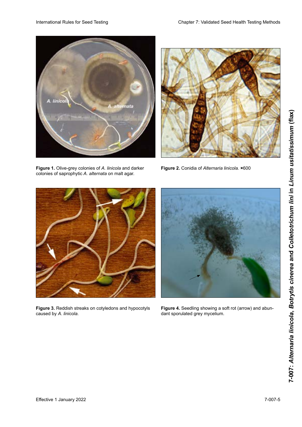

**Figure 1.** Olive-grey colonies of *A. linicola* and darker colonies of saprophytic *A. alternata* on malt agar.



**Figure 2.** Conidia of Alternaria linicola. ×600



Figure 3. Reddish streaks on cotyledons and hypocotyls caused by *A. linicola*.



Figure 4. Seedling showing a soft rot (arrow) and abundant sporulated grey mycelium.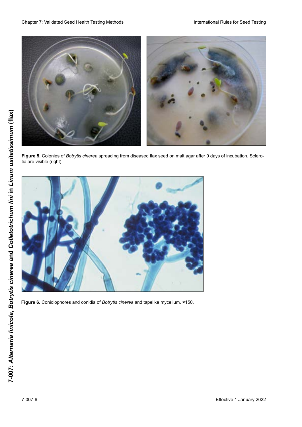

**Figure 5.** Colonies of *Botrytis cinerea* spreading from diseased flax seed on malt agar after 9 days of incubation. Sclerotia are visible (right).



Figure 6. Conidiophores and conidia of Botrytis cinerea and tapelike mycelium. ×150.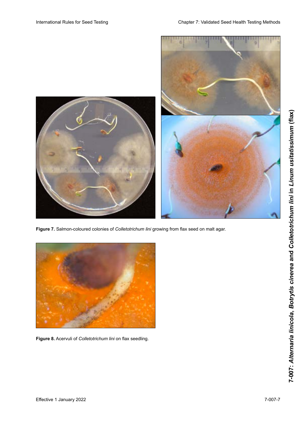

**Figure 7.** Salmon-coloured colonies of *Colletotrichum lini* growing from flax seed on malt agar.

![](_page_6_Picture_4.jpeg)

Figure 8. Acervuli of Colletotrichum lini on flax seedling.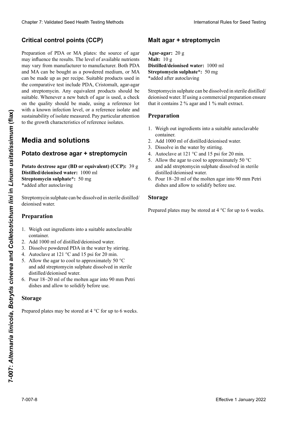# $\blacksquare$ Critical control points (CCP)

Preparation of PDA or MA plates: the source of agar may vary from manufacturer to manufacturer. Both PDA and MA can be bought as a powdered medium, or MA can be made up as per recipe. Suitable products used in **Puntos critical** control (Productor doit in resultat position of agar is used, a check of the quality should be made, asing a reference for with a known infection level, or a reference isolate and and a los resultation in the nutrient of the nutrient of influence is sustainability of isolate measured. Pay particular attention distantion of the unit measured t ay particular disension PO en como el manuel como el polo en polared. Clearlor 7: Validierte Fortest (Poly Trefni) below the **Christian Clearlor 1.** Suppose the method of the christian Clearlor 1. Although the state of the results of the christian Clearlor 1. Januar 2022<br>
Christian Clearlor the comparative test include PDA, Cristomalt, agar-agar and streptomycin. Any equivalent products should be sustamability of isolate measured. Pay particular attention<br>to the growth characteristics of reference isolates. die Herkunft des Agars die Ergebnissen betreffen kann von Lieferant zu Liefer zu Liefer zu Lieferant zu Liefer Cheape 7 Validated Seat Health Teatricial Seat Health Teatricial Seat Health Teatricial Company of Nicholas Seat Health Teatricial Seat Teatricial Company of the Cheap of the Cheap of the Cheap of the Cheap of the Cheap o may influence the results. The level of available nutrients on the quality should be made, using a reference lot

#### Modia and colutione **Media and solutions**

# producto extensiones de bería ser apropiado. Cada vez que apropiado. Cada vez que apropiado. Cada vez que apro Media and solutions<br>Potato dextrose agar + streptomycin

calidad, usando un lote de referencia con un nivel conoci-Potato dextrose agar (BD or equivalent) (CCP): 39 g **Distilled/deionised water:** 1000 ml **Streptomycin sulphate\*:** 50 mg \*added after autoclaving tomalt, Agar-Agar und Streptomycin. Ähnliche Produkte **Potato dextrose agar (BD or equivalent) (CCP):** 39 g Effective 1 January 2022<br> **Effective 1 January 2022**<br> **Colleton and <b>Solution**<br> **Collective 1 January 2022**<br> **Collective 1 January 2022**<br> **Collective 1 January 2022**<br> **Collective 1 January 2022**<br> **Collective 1 January 202** 

deionised water. Streptomycin sulphate can be dissolved in sterile distilled/

# **Preparation**

- **estreptomicina** container. 1. Weigh out ingredients into a suitable autoclavable
- 2. Add 1000 ml of distilled/deionised water.
- 3. Dissolve powdered PDA in the water by stirring.
- 4. Autoclave at 121 °C and 15 psi for 20 min.
- and add streptomycin sulphate dissolved in sterile distilled/deionised water. 5. Allow the agar to cool to approximately 50  $\degree$ C
- **Preparación H**erstein 1920 **Milieux et solutions** 6. Pour 18–20 ml of the molten agar into 90 mm Petri dishes and allow to solidify before use.

#### $1.91.$  Pesar todos los reactivos en un recipiente apropiado en un recipiente apropiado en un recipiente apropiado en un recipiente apropiado en un recipiente apropiado en un recipiente apropiado en un recipiente apropiad 1. Einwiegen aller Komponenten in ein geeignetes auto-**Storage** klavierbares Gefäß. **Potato dextrose agar (BD ou equivalent)(CCP) :** 39 g

para autoclave.  $\frac{1}{2}$ . Agregar 1000 may be stored at  $\frac{1}{2}$  desired aprovement  $\frac{1}{2}$  $P^{\text{area}}P^{\text{a}}$ Eau **distillée/désionisée :** 1000 ml Prepared plates may be stored at 4 <sup>o</sup>C for up to 6 weeks.

# **Malt agar + streptomycin**

Agar-agar: 20 g<br>Malt: 10 g **Malt:** 10 g \*added after autoclaving **Distilled/deionised water:** 1000 ml **Streptomycin sulphate\*:** 50 mg  $\frac{1}{\sqrt{2}}$ . Laisser refroidir l'agar jusqu'à env. 50 °C et ajouter refroidir l'agar jusqu'à env. 50 °C et ajouter refroidir l'agar jusqu'à env. 50 °C et ajouter refroidir l'agar jusqu'à env. 50 °C et ajouter refroidir l

Streptomycin sulphate can be dissolved in sterile distilled/ deionised water. If using a commercial preparation ensure that it contains 2 % agar and 1 % malt extract. **Sulfato de estreptomicina \*:** 50 mg **Streptomycinsulfat\*:** 50 mg  $\frac{1}{2}$  m et laisser solidifier avant emploi.

# \*agregar después de esterilizar con autoclave \*Zugabe nach dem Autoklavieren **Preparation**

- $\frac{1}{1}$  Words out in anodicate into a quitable entacles which destilada estérica destilada estánda estérica una provincia una provincia una provincia una provincia una provincia una provincia una provincia una provincia una provincia una provincia una provincia una provincia una prov 1. Weigh out ingredients into a suitable autoclavable<br>container.<br>2. Add 1000 ml of distilled/deionised water. container.
- comanier.<br>2. Add 1000 ml of distilled/deionised water.
- 2. Add 1000 fm of district deformsed<br>3. Dissolve in the water by stirring.
- 3. Dissolve in the water by stirring.<br>4. Autoclave at 121 °C and 15 psi for 20 min.
- **Proparate Preparate Here** distilled/deionised water. distilled/deionised water. 4. Allocave at  $121$  C and 15 psi for 20 mm.<br>5. Allow the agar to cool to approximately 50  $^{\circ}$ C distilled/deionised water. and add streptomycin sulphate dissolved in sterile
- Pour  $18-20$  m dishes and allow to solidify before use. 6. Pour 18–20 ml of the molten agar into 90 mm Petri

### **Eau distillée durch Rühren.**

Prepared plates may be stored at 4  $\degree$ C for up to 6 weeks.